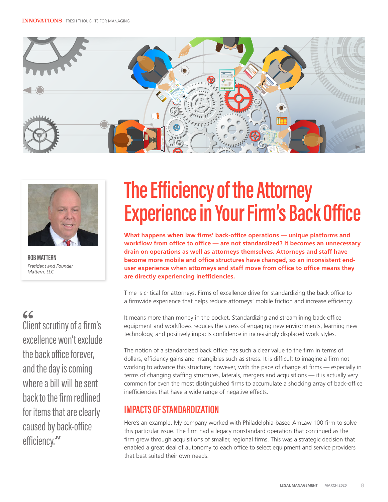



**ROB MATTERN** *President and Founder Mattern, LLC*

## $66$

Client scrutiny of a firm's excellence won't exclude the back office forever, and the day is coming where a bill will be sent back to the firm redlined for items that are clearly caused by back-office efficiency.**"**

## **The Efficiency of the Attorney Experience in Your Firm's Back Office**

**What happens when law firms' back-office operations — unique platforms and workflow from office to office — are not standardized? It becomes an unnecessary drain on operations as well as attorneys themselves. Attorneys and staff have become more mobile and office structures have changed, so an inconsistent enduser experience when attorneys and staff move from office to office means they are directly experiencing inefficiencies.**

Time is critical for attorneys. Firms of excellence drive for standardizing the back office to a firmwide experience that helps reduce attorneys' mobile friction and increase efficiency.

It means more than money in the pocket. Standardizing and streamlining back-office equipment and workflows reduces the stress of engaging new environments, learning new technology, and positively impacts confidence in increasingly displaced work styles.

The notion of a standardized back office has such a clear value to the firm in terms of dollars, efficiency gains and intangibles such as stress. It is difficult to imagine a firm not working to advance this structure; however, with the pace of change at firms — especially in terms of changing staffing structures, laterals, mergers and acquisitions — it is actually very common for even the most distinguished firms to accumulate a shocking array of back-office inefficiencies that have a wide range of negative effects.

## **IMPACTS OF STANDARDIZATION**

Here's an example. My company worked with Philadelphia-based AmLaw 100 firm to solve this particular issue. The firm had a legacy nonstandard operation that continued as the firm grew through acquisitions of smaller, regional firms. This was a strategic decision that enabled a great deal of autonomy to each office to select equipment and service providers that best suited their own needs.